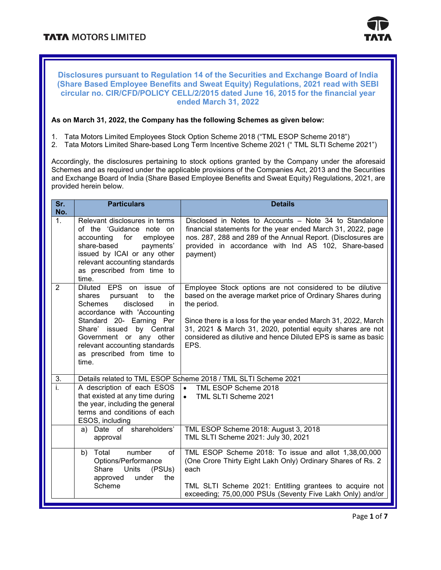

#### **Disclosures pursuant to Regulation 14 of the Securities and Exchange Board of India (Share Based Employee Benefits and Sweat Equity) Regulations, 2021 read with SEBI circular no. CIR/CFD/POLICY CELL/2/2015 dated June 16, 2015 for the financial year ended March 31, 2022**

#### **As on March 31, 2022, the Company has the following Schemes as given below:**

- 1. Tata Motors Limited Employees Stock Option Scheme 2018 ("TML ESOP Scheme 2018")
- 2. Tata Motors Limited Share-based Long Term Incentive Scheme 2021 (" TML SLTI Scheme 2021")

Accordingly, the disclosures pertaining to stock options granted by the Company under the aforesaid Schemes and as required under the applicable provisions of the Companies Act, 2013 and the Securities and Exchange Board of India (Share Based Employee Benefits and Sweat Equity) Regulations, 2021, are provided herein below.

| Sr.<br>No.                                                                                                           | <b>Particulars</b>                                                                                                                                                                                                                                                                                 | <b>Details</b>                                                                                                                                                                                                                                                                                                                                  |  |  |
|----------------------------------------------------------------------------------------------------------------------|----------------------------------------------------------------------------------------------------------------------------------------------------------------------------------------------------------------------------------------------------------------------------------------------------|-------------------------------------------------------------------------------------------------------------------------------------------------------------------------------------------------------------------------------------------------------------------------------------------------------------------------------------------------|--|--|
| 1.                                                                                                                   | Relevant disclosures in terms<br>of the 'Guidance note on<br>accounting<br>for<br>employee<br>share-based<br>payments'<br>issued by ICAI or any other<br>relevant accounting standards<br>as prescribed from time to<br>time.                                                                      | Disclosed in Notes to Accounts – Note 34 to Standalone<br>financial statements for the year ended March 31, 2022, page<br>nos. 287, 288 and 289 of the Annual Report. (Disclosures are<br>provided in accordance with Ind AS 102, Share-based<br>payment)                                                                                       |  |  |
| $\overline{2}$                                                                                                       | EPS on<br><b>Diluted</b><br>issue of<br>shares<br>pursuant<br>to<br>the<br>Schemes<br>disclosed<br>in<br>accordance with 'Accounting<br>Standard 20- Earning Per<br>Share' issued<br>by Central<br>Government or any other<br>relevant accounting standards<br>as prescribed from time to<br>time. | Employee Stock options are not considered to be dilutive<br>based on the average market price of Ordinary Shares during<br>the period.<br>Since there is a loss for the year ended March 31, 2022, March<br>31, 2021 & March 31, 2020, potential equity shares are not<br>considered as dilutive and hence Diluted EPS is same as basic<br>EPS. |  |  |
| 3.                                                                                                                   |                                                                                                                                                                                                                                                                                                    | Details related to TML ESOP Scheme 2018 / TML SLTI Scheme 2021                                                                                                                                                                                                                                                                                  |  |  |
| ī.                                                                                                                   | A description of each ESOS<br>that existed at any time during<br>the year, including the general<br>terms and conditions of each<br>ESOS, including                                                                                                                                                | $\bullet$<br>TML ESOP Scheme 2018<br>TML SLTI Scheme 2021<br>$\bullet$                                                                                                                                                                                                                                                                          |  |  |
|                                                                                                                      | Date of shareholders'<br>a)<br>approval                                                                                                                                                                                                                                                            | TML ESOP Scheme 2018: August 3, 2018<br>TML SLTI Scheme 2021: July 30, 2021                                                                                                                                                                                                                                                                     |  |  |
| Total<br>b)<br>number<br>of<br>Options/Performance<br>Units<br>Share<br>(PSUs)<br>approved<br>under<br>the<br>Scheme |                                                                                                                                                                                                                                                                                                    | TML ESOP Scheme 2018: To issue and allot 1,38,00,000<br>(One Crore Thirty Eight Lakh Only) Ordinary Shares of Rs. 2<br>each<br>TML SLTI Scheme 2021: Entitling grantees to acquire not                                                                                                                                                          |  |  |
|                                                                                                                      |                                                                                                                                                                                                                                                                                                    | exceeding; 75,00,000 PSUs (Seventy Five Lakh Only) and/or                                                                                                                                                                                                                                                                                       |  |  |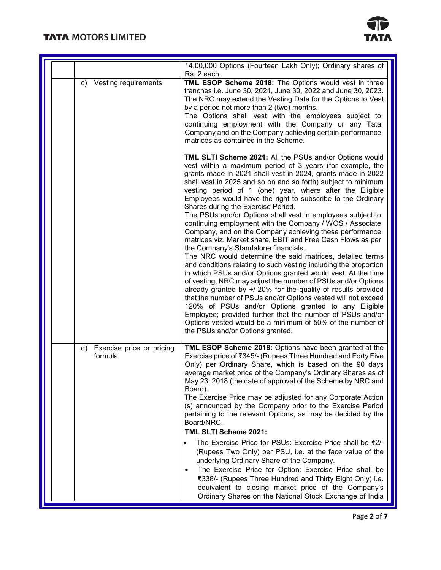## **TATA MOTORS LIMITED**



|                                            | 14,00,000 Options (Fourteen Lakh Only); Ordinary shares of<br>Rs. 2 each.                                                                                                                                                                                                                                                                                                                                                                                                                                                                                                                                                                                                                                                                                                                                                                                                                                                                                                                                                                                                                                                                                                                                                                                                                                                                 |
|--------------------------------------------|-------------------------------------------------------------------------------------------------------------------------------------------------------------------------------------------------------------------------------------------------------------------------------------------------------------------------------------------------------------------------------------------------------------------------------------------------------------------------------------------------------------------------------------------------------------------------------------------------------------------------------------------------------------------------------------------------------------------------------------------------------------------------------------------------------------------------------------------------------------------------------------------------------------------------------------------------------------------------------------------------------------------------------------------------------------------------------------------------------------------------------------------------------------------------------------------------------------------------------------------------------------------------------------------------------------------------------------------|
| Vesting requirements<br>C)                 | TML ESOP Scheme 2018: The Options would vest in three<br>tranches i.e. June 30, 2021, June 30, 2022 and June 30, 2023.<br>The NRC may extend the Vesting Date for the Options to Vest<br>by a period not more than 2 (two) months.<br>The Options shall vest with the employees subject to<br>continuing employment with the Company or any Tata<br>Company and on the Company achieving certain performance<br>matrices as contained in the Scheme.                                                                                                                                                                                                                                                                                                                                                                                                                                                                                                                                                                                                                                                                                                                                                                                                                                                                                      |
|                                            | TML SLTI Scheme 2021: All the PSUs and/or Options would<br>vest within a maximum period of 3 years (for example, the<br>grants made in 2021 shall vest in 2024, grants made in 2022<br>shall vest in 2025 and so on and so forth) subject to minimum<br>vesting period of 1 (one) year, where after the Eligible<br>Employees would have the right to subscribe to the Ordinary<br>Shares during the Exercise Period.<br>The PSUs and/or Options shall vest in employees subject to<br>continuing employment with the Company / WOS / Associate<br>Company, and on the Company achieving these performance<br>matrices viz. Market share, EBIT and Free Cash Flows as per<br>the Company's Standalone financials.<br>The NRC would determine the said matrices, detailed terms<br>and conditions relating to such vesting including the proportion<br>in which PSUs and/or Options granted would vest. At the time<br>of vesting, NRC may adjust the number of PSUs and/or Options<br>already granted by +/-20% for the quality of results provided<br>that the number of PSUs and/or Options vested will not exceed<br>120% of PSUs and/or Options granted to any Eligible<br>Employee; provided further that the number of PSUs and/or<br>Options vested would be a minimum of 50% of the number of<br>the PSUs and/or Options granted. |
| Exercise price or pricing<br>d)<br>formula | TML ESOP Scheme 2018: Options have been granted at the<br>Exercise price of ₹345/- (Rupees Three Hundred and Forty Five<br>Only) per Ordinary Share, which is based on the 90 days<br>average market price of the Company's Ordinary Shares as of<br>May 23, 2018 (the date of approval of the Scheme by NRC and<br>Board).<br>The Exercise Price may be adjusted for any Corporate Action<br>(s) announced by the Company prior to the Exercise Period<br>pertaining to the relevant Options, as may be decided by the<br>Board/NRC.<br>TML SLTI Scheme 2021:<br>The Exercise Price for PSUs: Exercise Price shall be ₹2/-<br>$\bullet$<br>(Rupees Two Only) per PSU, i.e. at the face value of the<br>underlying Ordinary Share of the Company.<br>The Exercise Price for Option: Exercise Price shall be<br>₹338/- (Rupees Three Hundred and Thirty Eight Only) i.e.<br>equivalent to closing market price of the Company's<br>Ordinary Shares on the National Stock Exchange of India                                                                                                                                                                                                                                                                                                                                                 |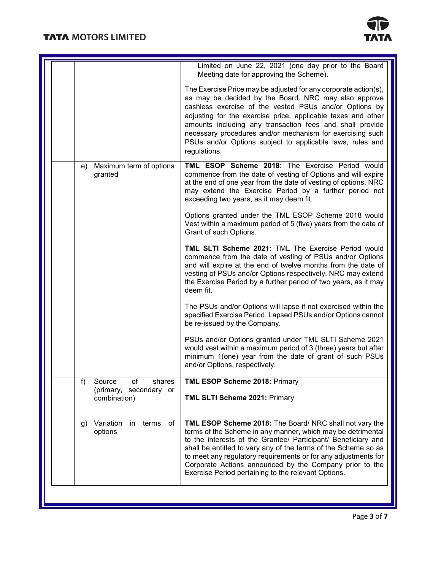

|  |                                                                                          | Limited on June 22, 2021 (one day prior to the Board<br>Meeting date for approving the Scheme).                                                                                                                                                                                                                                                                                                                                                         |
|--|------------------------------------------------------------------------------------------|---------------------------------------------------------------------------------------------------------------------------------------------------------------------------------------------------------------------------------------------------------------------------------------------------------------------------------------------------------------------------------------------------------------------------------------------------------|
|  |                                                                                          | The Exercise Price may be adjusted for any corporate action(s),<br>as may be decided by the Board. NRC may also approve<br>cashless exercise of the vested PSUs and/or Options by<br>adjusting for the exercise price, applicable taxes and other<br>amounts including any transaction fees and shall provide<br>necessary procedures and/or mechanism for exercising such<br>PSUs and/or Options subject to applicable laws, rules and<br>regulations. |
|  | Maximum term of options<br>e)<br>granted                                                 | TML ESOP Scheme 2018: The Exercise Period would<br>commence from the date of vesting of Options and will expire<br>at the end of one year from the date of vesting of options. NRC<br>may extend the Exercise Period by a further period not<br>exceeding two years, as it may deem fit.                                                                                                                                                                |
|  |                                                                                          | Options granted under the TML ESOP Scheme 2018 would<br>Vest within a maximum period of 5 (five) years from the date of<br>Grant of such Options.                                                                                                                                                                                                                                                                                                       |
|  |                                                                                          | TML SLTI Scheme 2021: TML The Exercise Period would<br>commence from the date of vesting of PSUs and/or Options<br>and will expire at the end of twelve months from the date of<br>vesting of PSUs and/or Options respectively. NRC may extend<br>the Exercise Period by a further period of two years, as it may<br>deem fit.                                                                                                                          |
|  |                                                                                          | The PSUs and/or Options will lapse if not exercised within the<br>specified Exercise Period. Lapsed PSUs and/or Options cannot<br>be re-issued by the Company.                                                                                                                                                                                                                                                                                          |
|  |                                                                                          | PSUs and/or Options granted under TML SLTI Scheme 2021<br>would vest within a maximum period of 3 (three) years but after<br>minimum 1(one) year from the date of grant of such PSUs<br>and/or Options, respectively.                                                                                                                                                                                                                                   |
|  | $\ddot{\phantom{1}}$<br>Source<br>οt<br>shares<br>(primary, secondary or<br>combination) | <b>TML ESOP Scheme 2018: Primary</b><br>TML SLTI Scheme 2021: Primary                                                                                                                                                                                                                                                                                                                                                                                   |
|  | g) Variation in terms of<br>options                                                      | TML ESOP Scheme 2018: The Board/ NRC shall not vary the<br>terms of the Scheme in any manner, which may be detrimental<br>to the interests of the Grantee/ Participant/ Beneficiary and<br>shall be entitled to vary any of the terms of the Scheme so as<br>to meet any regulatory requirements or for any adjustments for<br>Corporate Actions announced by the Company prior to the<br>Exercise Period pertaining to the relevant Options.           |
|  |                                                                                          |                                                                                                                                                                                                                                                                                                                                                                                                                                                         |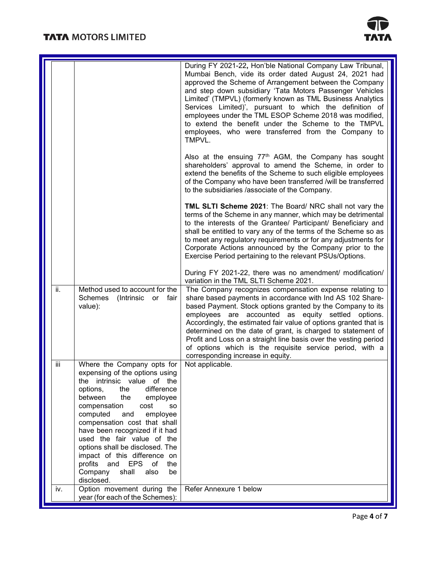

|     |                                                                                                                                                                                                                                                                                                                                                                                                                                                                                                  | During FY 2021-22, Hon'ble National Company Law Tribunal,<br>Mumbai Bench, vide its order dated August 24, 2021 had<br>approved the Scheme of Arrangement between the Company<br>and step down subsidiary 'Tata Motors Passenger Vehicles<br>Limited' (TMPVL) (formerly known as TML Business Analytics<br>Services Limited)', pursuant to which the definition of<br>employees under the TML ESOP Scheme 2018 was modified,<br>to extend the benefit under the Scheme to the TMPVL<br>employees, who were transferred from the Company to<br>TMPVL. |
|-----|--------------------------------------------------------------------------------------------------------------------------------------------------------------------------------------------------------------------------------------------------------------------------------------------------------------------------------------------------------------------------------------------------------------------------------------------------------------------------------------------------|------------------------------------------------------------------------------------------------------------------------------------------------------------------------------------------------------------------------------------------------------------------------------------------------------------------------------------------------------------------------------------------------------------------------------------------------------------------------------------------------------------------------------------------------------|
|     |                                                                                                                                                                                                                                                                                                                                                                                                                                                                                                  | Also at the ensuing 77 <sup>th</sup> AGM, the Company has sought<br>shareholders' approval to amend the Scheme, in order to<br>extend the benefits of the Scheme to such eligible employees<br>of the Company who have been transferred /will be transferred<br>to the subsidiaries /associate of the Company.                                                                                                                                                                                                                                       |
|     |                                                                                                                                                                                                                                                                                                                                                                                                                                                                                                  | TML SLTI Scheme 2021: The Board/ NRC shall not vary the<br>terms of the Scheme in any manner, which may be detrimental<br>to the interests of the Grantee/ Participant/ Beneficiary and<br>shall be entitled to vary any of the terms of the Scheme so as<br>to meet any regulatory requirements or for any adjustments for<br>Corporate Actions announced by the Company prior to the<br>Exercise Period pertaining to the relevant PSUs/Options.                                                                                                   |
|     |                                                                                                                                                                                                                                                                                                                                                                                                                                                                                                  | During FY 2021-22, there was no amendment/ modification/<br>variation in the TML SLTI Scheme 2021.                                                                                                                                                                                                                                                                                                                                                                                                                                                   |
| ii. | Method used to account for the<br><b>Schemes</b><br>(Intrinsic<br>or<br>fair<br>value):                                                                                                                                                                                                                                                                                                                                                                                                          | The Company recognizes compensation expense relating to<br>share based payments in accordance with Ind AS 102 Share-<br>based Payment. Stock options granted by the Company to its<br>employees are accounted as equity settled options.<br>Accordingly, the estimated fair value of options granted that is<br>determined on the date of grant, is charged to statement of<br>Profit and Loss on a straight line basis over the vesting period<br>of options which is the requisite service period, with a<br>corresponding increase in equity.     |
| Ϊİ  | Where the Company opts for<br>expensing of the options using<br>intrinsic value of the<br>the<br>the<br>difference<br>options,<br>between<br>the<br>employee<br>cost<br>compensation<br><b>SO</b><br>computed<br>and<br>employee<br>compensation cost that shall<br>have been recognized if it had<br>used the fair value of the<br>options shall be disclosed. The<br>impact of this difference on<br>profits<br><b>EPS</b><br>of<br>and<br>the<br>Company<br>shall<br>also<br>be<br>disclosed. | Not applicable.                                                                                                                                                                                                                                                                                                                                                                                                                                                                                                                                      |
| iv. | Option movement during the<br>year (for each of the Schemes):                                                                                                                                                                                                                                                                                                                                                                                                                                    | Refer Annexure 1 below                                                                                                                                                                                                                                                                                                                                                                                                                                                                                                                               |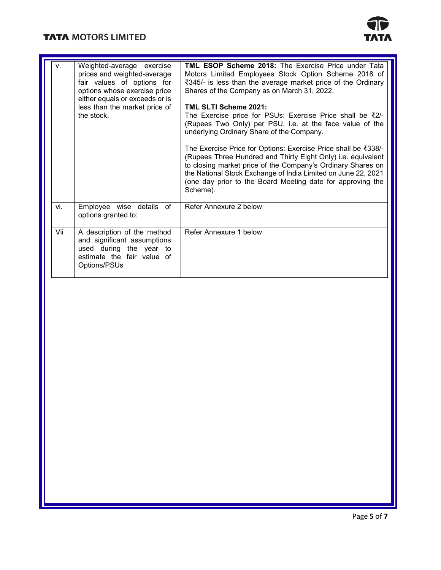# **TATA MOTORS LIMITED**



| v.  | Weighted-average exercise<br>prices and weighted-average<br>fair values of options for<br>options whose exercise price<br>either equals or exceeds or is<br>less than the market price of<br>the stock. | <b>TML ESOP Scheme 2018:</b> The Exercise Price under Tata<br>Motors Limited Employees Stock Option Scheme 2018 of<br>₹345/- is less than the average market price of the Ordinary<br>Shares of the Company as on March 31, 2022.<br>TML SLTI Scheme 2021:<br>The Exercise price for PSUs: Exercise Price shall be ₹2/-<br>(Rupees Two Only) per PSU, i.e. at the face value of the<br>underlying Ordinary Share of the Company.<br>The Exercise Price for Options: Exercise Price shall be ₹338/-<br>(Rupees Three Hundred and Thirty Eight Only) i.e. equivalent<br>to closing market price of the Company's Ordinary Shares on<br>the National Stock Exchange of India Limited on June 22, 2021<br>(one day prior to the Board Meeting date for approving the<br>Scheme). |
|-----|---------------------------------------------------------------------------------------------------------------------------------------------------------------------------------------------------------|------------------------------------------------------------------------------------------------------------------------------------------------------------------------------------------------------------------------------------------------------------------------------------------------------------------------------------------------------------------------------------------------------------------------------------------------------------------------------------------------------------------------------------------------------------------------------------------------------------------------------------------------------------------------------------------------------------------------------------------------------------------------------|
| vi. | Employee wise details of<br>options granted to:                                                                                                                                                         | Refer Annexure 2 below                                                                                                                                                                                                                                                                                                                                                                                                                                                                                                                                                                                                                                                                                                                                                       |
| Vii | A description of the method<br>and significant assumptions<br>used during the year to<br>estimate the fair value of<br>Options/PSUs                                                                     | Refer Annexure 1 below                                                                                                                                                                                                                                                                                                                                                                                                                                                                                                                                                                                                                                                                                                                                                       |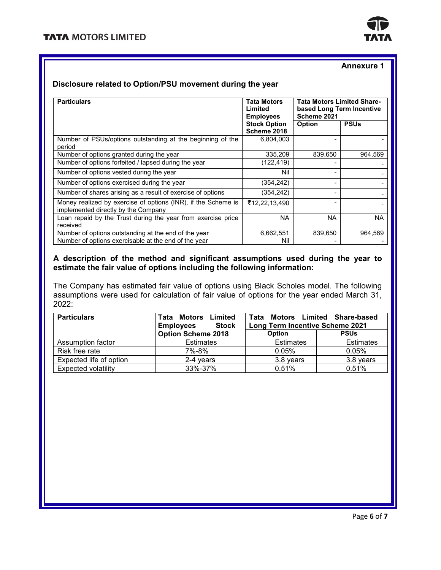

#### **Annexure 1**

#### **Disclosure related to Option/PSU movement during the year**

| <b>Particulars</b>                                                                                   | <b>Tata Motors</b><br>Limited<br><b>Employees</b> | <b>Tata Motors Limited Share-</b><br>based Long Term Incentive<br>Scheme 2021 |             |  |
|------------------------------------------------------------------------------------------------------|---------------------------------------------------|-------------------------------------------------------------------------------|-------------|--|
|                                                                                                      | <b>Stock Option</b><br>Scheme 2018                | Option                                                                        | <b>PSUs</b> |  |
| Number of PSUs/options outstanding at the beginning of the<br>period                                 | 6,804,003                                         |                                                                               |             |  |
| Number of options granted during the year                                                            | 335.209                                           | 839.650                                                                       | 964.569     |  |
| Number of options forfeited / lapsed during the year                                                 | (122,419)                                         |                                                                               |             |  |
| Number of options vested during the year                                                             | Nil                                               |                                                                               |             |  |
| Number of options exercised during the year                                                          | (354, 242)                                        |                                                                               |             |  |
| Number of shares arising as a result of exercise of options                                          | (354,242)                                         |                                                                               |             |  |
| Money realized by exercise of options (INR), if the Scheme is<br>implemented directly by the Company | ₹12,22,13,490                                     |                                                                               |             |  |
| Loan repaid by the Trust during the year from exercise price                                         | NA.                                               | NA.                                                                           | NA          |  |
| received                                                                                             |                                                   |                                                                               |             |  |
| Number of options outstanding at the end of the year                                                 | 6,662,551                                         | 839,650                                                                       | 964,569     |  |
| Number of options exercisable at the end of the year                                                 | Nil                                               |                                                                               |             |  |

## **A description of the method and significant assumptions used during the year to estimate the fair value of options including the following information:**

The Company has estimated fair value of options using Black Scholes model. The following assumptions were used for calculation of fair value of options for the year ended March 31, 2022:

| <b>Particulars</b>      | <b>Tata Motors Limited</b><br><b>Employees</b><br><b>Stock</b> | Tata<br><b>Long Term Incentive Scheme 2021</b> | Motors Limited Share-based |  |
|-------------------------|----------------------------------------------------------------|------------------------------------------------|----------------------------|--|
|                         | <b>Option Scheme 2018</b>                                      | <b>Option</b>                                  | <b>PSUs</b>                |  |
| Assumption factor       | <b>Estimates</b>                                               | <b>Estimates</b>                               | <b>Estimates</b>           |  |
| Risk free rate          | 7%-8%                                                          | 0.05%                                          | 0.05%                      |  |
| Expected life of option | 2-4 vears                                                      | 3.8 years                                      | 3.8 years                  |  |
| Expected volatility     | 33%-37%                                                        | 0.51%                                          | 0.51%                      |  |